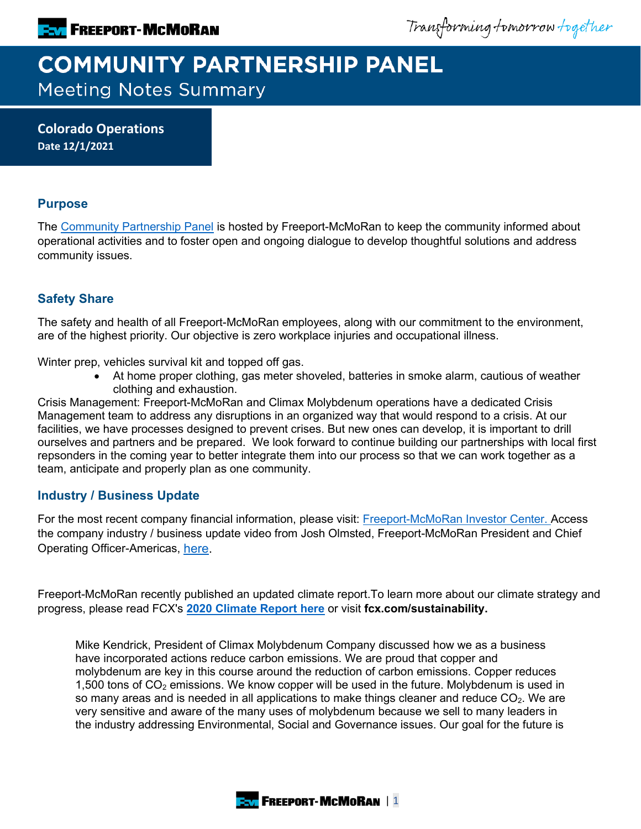Transforming tomorrow together

# **COMMUNITY PARTNERSHIP PANEL Meeting Notes Summary**

**Colorado Operations Date 12/1/2021**

# **Purpose**

The [Community Partnership Panel](https://www.freeportinmycommunity.com/stakeholders/stakeholder-engagement-) is hosted by Freeport-McMoRan to keep the community informed about operational activities and to foster open and ongoing dialogue to develop thoughtful solutions and address community issues.

# **Safety Share**

The safety and health of all Freeport-McMoRan employees, along with our commitment to the environment, are of the highest priority. Our objective is zero workplace injuries and occupational illness.

Winter prep, vehicles survival kit and topped off gas.

• At home proper clothing, gas meter shoveled, batteries in smoke alarm, cautious of weather clothing and exhaustion.

Crisis Management: Freeport-McMoRan and Climax Molybdenum operations have a dedicated Crisis Management team to address any disruptions in an organized way that would respond to a crisis. At our facilities, we have processes designed to prevent crises. But new ones can develop, it is important to drill ourselves and partners and be prepared. We look forward to continue building our partnerships with local first repsonders in the coming year to better integrate them into our process so that we can work together as a team, anticipate and properly plan as one community.

## **Industry / Business Update**

For the most recent company financial information, please visit: [Freeport-McMoRan Investor Center.](http://investors.fcx.com/investors/default.aspx) Access the company industry / business update video from Josh Olmsted, Freeport-McMoRan President and Chief Operating Officer-Americas, [here.](https://youtu.be/cCXXaE3grIo)

Freeport-McMoRan recently published an updated climate report.To learn more about our climate strategy and progress, please read FCX's **[2020 Climate Report here](https://www.fcx.com/sites/fcx/files/documents/sustainability/2020-Climate-Report.pdf)** or visit **fcx.com/sustainability.**

Mike Kendrick, President of Climax Molybdenum Company discussed how we as a business have incorporated actions reduce carbon emissions. We are proud that copper and molybdenum are key in this course around the reduction of carbon emissions. Copper reduces 1,500 tons of  $CO<sub>2</sub>$  emissions. We know copper will be used in the future. Molybdenum is used in so many areas and is needed in all applications to make things cleaner and reduce  $CO<sub>2</sub>$ . We are very sensitive and aware of the many uses of molybdenum because we sell to many leaders in the industry addressing Environmental, Social and Governance issues. Our goal for the future is

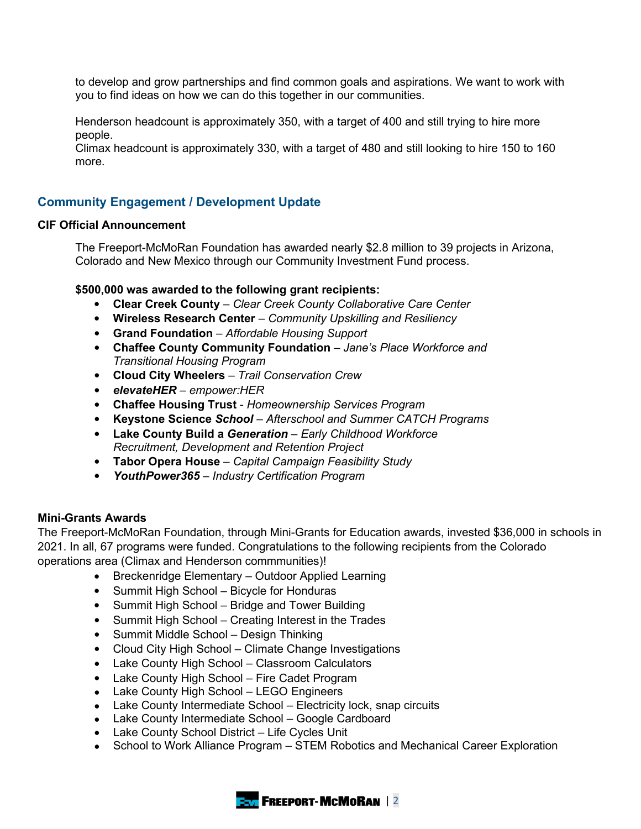to develop and grow partnerships and find common goals and aspirations. We want to work with you to find ideas on how we can do this together in our communities.

Henderson headcount is approximately 350, with a target of 400 and still trying to hire more people.

Climax headcount is approximately 330, with a target of 480 and still looking to hire 150 to 160 more.

# **Community Engagement / Development Update**

#### **CIF Official Announcement**

The Freeport-McMoRan Foundation has awarded nearly \$2.8 million to 39 projects in Arizona, Colorado and New Mexico through our Community Investment Fund process.

#### **\$500,000 was awarded to the following grant recipients:**

- **Clear Creek County** *– Clear Creek County Collaborative Care Center*
- **Wireless Research Center** *– Community Upskilling and Resiliency*
- **Grand Foundation** *– Affordable Housing Support*
- **Chaffee County Community Foundation** *– Jane's Place Workforce and Transitional Housing Program*
- **Cloud City Wheelers** *– Trail Conservation Crew*
- *elevateHER – empower:HER*
- **Chaffee Housing Trust** *Homeownership Services Program*
- **Keystone Science** *School – Afterschool and Summer CATCH Programs*
- **Lake County Build a** *Generation – Early Childhood Workforce Recruitment, Development and Retention Project*
- **Tabor Opera House** *– Capital Campaign Feasibility Study*
- *YouthPower365 – Industry Certification Program*

#### **Mini-Grants Awards**

The Freeport-McMoRan Foundation, through Mini-Grants for Education awards, invested \$36,000 in schools in 2021. In all, 67 programs were funded. Congratulations to the following recipients from the Colorado operations area (Climax and Henderson commmunities)!

- Breckenridge Elementary Outdoor Applied Learning
- Summit High School Bicycle for Honduras
- Summit High School Bridge and Tower Building
- Summit High School Creating Interest in the Trades
- Summit Middle School Design Thinking
- Cloud City High School Climate Change Investigations
- Lake County High School Classroom Calculators
- Lake County High School Fire Cadet Program
- Lake County High School LEGO Engineers
- Lake County Intermediate School Electricity lock, snap circuits
- Lake County Intermediate School Google Cardboard
- Lake County School District Life Cycles Unit
- School to Work Alliance Program STEM Robotics and Mechanical Career Exploration

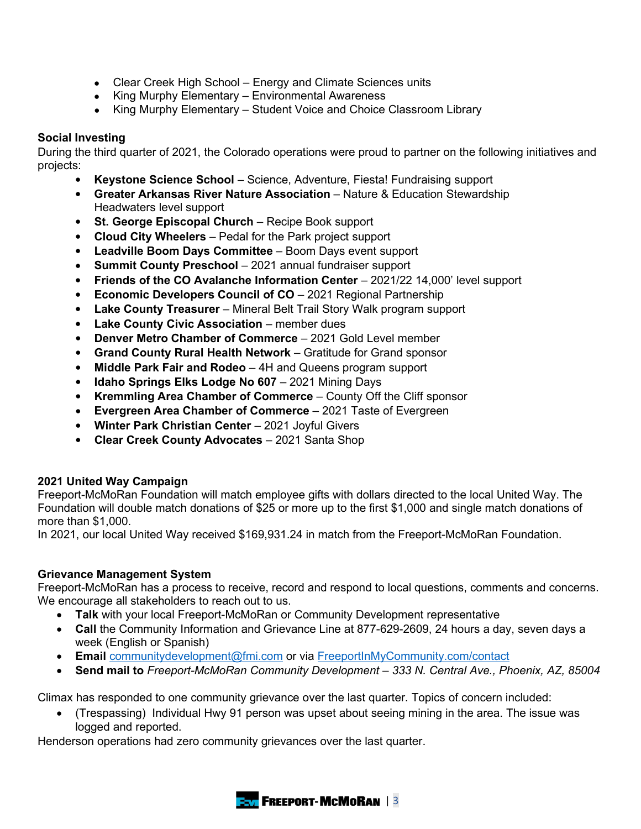- Clear Creek High School Energy and Climate Sciences units
- King Murphy Elementary Environmental Awareness
- King Murphy Elementary Student Voice and Choice Classroom Library

# **Social Investing**

During the third quarter of 2021, the Colorado operations were proud to partner on the following initiatives and projects:

- **Keystone Science School** Science, Adventure, Fiesta! Fundraising support
- **Greater Arkansas River Nature Association** Nature & Education Stewardship Headwaters level support
- **St. George Episcopal Church** Recipe Book support
- **Cloud City Wheelers** Pedal for the Park project support
- **Leadville Boom Days Committee** Boom Days event support
- **Summit County Preschool** 2021 annual fundraiser support
- **Friends of the CO Avalanche Information Center** 2021/22 14,000' level support
- **Economic Developers Council of CO** 2021 Regional Partnership
- **Lake County Treasurer** Mineral Belt Trail Story Walk program support
- **Lake County Civic Association** member dues
- **Denver Metro Chamber of Commerce** 2021 Gold Level member
- **Grand County Rural Health Network** Gratitude for Grand sponsor
- **Middle Park Fair and Rodeo** 4H and Queens program support
- **Idaho Springs Elks Lodge No 607** 2021 Mining Days
- **Kremmling Area Chamber of Commerce** County Off the Cliff sponsor
- **Evergreen Area Chamber of Commerce** 2021 Taste of Evergreen
- **Winter Park Christian Center** 2021 Joyful Givers
- **Clear Creek County Advocates** 2021 Santa Shop

## **2021 United Way Campaign**

Freeport-McMoRan Foundation will match employee gifts with dollars directed to the local United Way. The Foundation will double match donations of \$25 or more up to the first \$1,000 and single match donations of more than \$1,000.

In 2021, our local United Way received \$169,931.24 in match from the Freeport-McMoRan Foundation.

## **Grievance Management System**

Freeport-McMoRan has a process to receive, record and respond to local questions, comments and concerns. We encourage all stakeholders to reach out to us.

- **Talk** with your local Freeport-McMoRan or Community Development representative
- **Call** the Community Information and Grievance Line at 877-629-2609, 24 hours a day, seven days a week (English or Spanish)
- **Email** [communitydevelopment@fmi.com](mailto:communitydevelopment@fmi.com) or via [FreeportInMyCommunity.com/contact](http://freeportinmycommunity.com/contact)
- **Send mail to** *Freeport-McMoRan Community Development – 333 N. Central Ave., Phoenix, AZ, 85004*

Climax has responded to one community grievance over the last quarter. Topics of concern included:

• (Trespassing) Individual Hwy 91 person was upset about seeing mining in the area. The issue was logged and reported.

Henderson operations had zero community grievances over the last quarter.